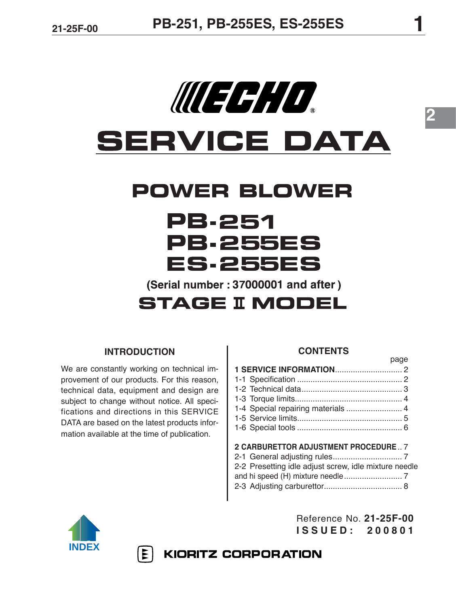# WEEH O **SERVICE DATA**

## **POWER BLOWER**

## PB.251 **PB.255ES ES.255ES** (Serial number: 37000001 and after)

### **STAGE II MODEL**

#### **INTRODUCTION**

We are constantly working on technical improvement of our products. For this reason, technical data, equipment and design are subject to change without notice. All specifications and directions in this SERVICE DATA are based on the latest products information available at the time of publication.

YYY

#### **CONTENTS**

**2**

| <u>puyo</u>                          |  |
|--------------------------------------|--|
|                                      |  |
|                                      |  |
|                                      |  |
|                                      |  |
| 1-4 Special repairing materials  4   |  |
|                                      |  |
|                                      |  |
| 2 CARBURETTOR ADJUSTMENT PROCEDURE 7 |  |
|                                      |  |
|                                      |  |

- 2-2 Presetting idle adjust screw, idle mixture needle
- and hi speed (H) mixture needle .......................... 7
- 2-3 Adjusting carburettor................................... 8



Reference No. **21-25F-00 ISSUED: 200801**

page

**KIORITZ CORPORATION**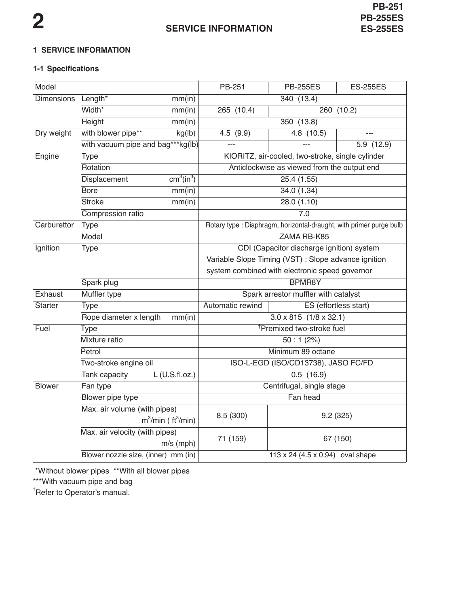#### **1 SERVICE INFORMATION**

#### **1-1 Specifications**

| Model             |                                     |                                    | PB-251                                               | <b>PB-255ES</b>                                                     | <b>ES-255ES</b>       |  |
|-------------------|-------------------------------------|------------------------------------|------------------------------------------------------|---------------------------------------------------------------------|-----------------------|--|
| <b>Dimensions</b> | Length*                             | mm(in)                             |                                                      | 340(13.4)                                                           |                       |  |
|                   | Width*                              | mm(in)                             | 265(10.4)<br>260 (10.2)                              |                                                                     |                       |  |
|                   | Height                              | mm(in)                             |                                                      | 350 (13.8)                                                          |                       |  |
| Dry weight        | with blower pipe**                  | kg(lb)                             | 4.5(9.9)                                             | 4.8(10.5)                                                           | $\overline{a}$        |  |
|                   | with vacuum pipe and bag***kg(lb)   |                                    |                                                      |                                                                     | 5.9(12.9)             |  |
| Engine            | <b>Type</b>                         |                                    |                                                      | KIORITZ, air-cooled, two-stroke, single cylinder                    |                       |  |
|                   | Rotation                            |                                    |                                                      | Anticlockwise as viewed from the output end                         |                       |  |
|                   | Displacement                        | cm <sup>3</sup> (in <sup>3</sup> ) |                                                      | 25.4(1.55)                                                          |                       |  |
|                   | <b>Bore</b>                         | mm(in)                             |                                                      | 34.0(1.34)                                                          |                       |  |
|                   | <b>Stroke</b>                       | mm(in)                             |                                                      | 28.0(1.10)                                                          |                       |  |
|                   | Compression ratio                   |                                    | $\overline{7.0}$                                     |                                                                     |                       |  |
| Carburettor       | <b>Type</b>                         |                                    |                                                      | Rotary type : Diaphragm, horizontal-draught, with primer purge bulb |                       |  |
|                   | Model                               |                                    |                                                      | ZAMA RB-K85                                                         |                       |  |
| Ignition          | <b>Type</b>                         |                                    |                                                      | CDI (Capacitor discharge ignition) system                           |                       |  |
|                   |                                     |                                    | Variable Slope Timing (VST) : Slope advance ignition |                                                                     |                       |  |
|                   |                                     |                                    | system combined with electronic speed governor       |                                                                     |                       |  |
|                   | Spark plug                          |                                    |                                                      | <b>BPMR8Y</b>                                                       |                       |  |
| Exhaust           | Muffler type                        |                                    | Spark arrestor muffler with catalyst                 |                                                                     |                       |  |
| <b>Starter</b>    | Type                                |                                    | Automatic rewind                                     |                                                                     | ES (effortless start) |  |
|                   | Rope diameter x length              | mm(in)                             |                                                      | $3.0 \times 815$ (1/8 $\times$ 32.1)                                |                       |  |
| Fuel              | <b>Type</b>                         |                                    |                                                      | <sup>†</sup> Premixed two-stroke fuel                               |                       |  |
|                   | Mixture ratio                       |                                    | 50:1(2%)                                             |                                                                     |                       |  |
|                   | Petrol                              |                                    | Minimum 89 octane                                    |                                                                     |                       |  |
|                   | Two-stroke engine oil               |                                    | ISO-L-EGD (ISO/CD13738), JASO FC/FD                  |                                                                     |                       |  |
|                   | Tank capacity                       | $L$ (U.S.fl.oz.)                   | 0.5(16.9)                                            |                                                                     |                       |  |
| <b>Blower</b>     | Fan type                            |                                    |                                                      | Centrifugal, single stage                                           |                       |  |
|                   | Blower pipe type                    |                                    | Fan head                                             |                                                                     |                       |  |
|                   | Max. air volume (with pipes)        |                                    | 8.5 (300)                                            | 9.2(325)                                                            |                       |  |
|                   | $m^3/m$ in (ft $^3/m$ in)           |                                    |                                                      |                                                                     |                       |  |
|                   | Max. air velocity (with pipes)      |                                    |                                                      | 67 (150)                                                            |                       |  |
|                   |                                     | $m/s$ (mph)                        | 71 (159)                                             |                                                                     |                       |  |
|                   | Blower nozzle size, (inner) mm (in) |                                    | 113 x 24 (4.5 x 0.94) oval shape                     |                                                                     |                       |  |

\*Without blower pipes \*\*With all blower pipes

\*\*\*With vacuum pipe and bag

† Refer to Operator's manual.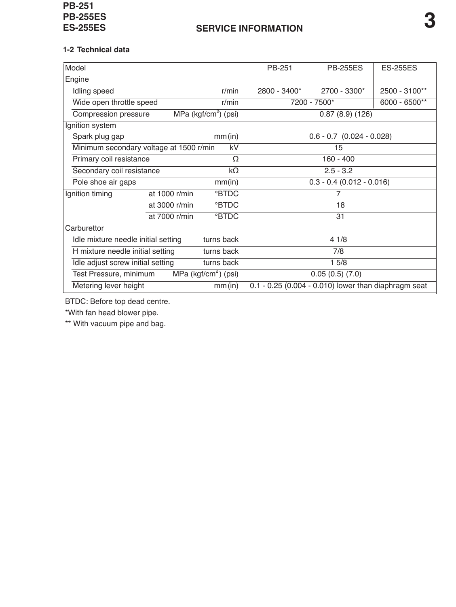#### **1-2 Technical data**

| Model                                             |                                        |                         | PB-251                                               | <b>PB-255ES</b> | <b>ES-255ES</b> |  |
|---------------------------------------------------|----------------------------------------|-------------------------|------------------------------------------------------|-----------------|-----------------|--|
| Engine                                            |                                        |                         |                                                      |                 |                 |  |
| Idling speed                                      |                                        | r/min                   | 2800 - 3400*                                         | 2700 - 3300*    | 2500 - 3100**   |  |
| Wide open throttle speed                          |                                        | $r/m$ in                | 7200 - 7500*                                         |                 | 6000 - 6500**   |  |
| Compression pressure                              |                                        | MPa ( $kgf/cm2$ ) (psi) | 0.87(8.9)(126)                                       |                 |                 |  |
| Ignition system                                   |                                        |                         |                                                      |                 |                 |  |
| Spark plug gap                                    |                                        | mm(in)                  | $0.6 - 0.7$ $(0.024 - 0.028)$                        |                 |                 |  |
| Minimum secondary voltage at 1500 r/min           |                                        | kV                      |                                                      | 15              |                 |  |
| Primary coil resistance                           |                                        | Ω                       | $160 - 400$                                          |                 |                 |  |
|                                                   | Secondary coil resistance<br>$k\Omega$ |                         |                                                      | $2.5 - 3.2$     |                 |  |
| Pole shoe air gaps                                |                                        | mm(in)                  | $0.3 - 0.4$ (0.012 - 0.016)                          |                 |                 |  |
| at 1000 r/min<br>Ignition timing                  |                                        | <b>BTDC</b>             | 7                                                    |                 |                 |  |
|                                                   | at 3000 r/min                          | °BTDC                   | 18                                                   |                 |                 |  |
|                                                   | at 7000 r/min                          | <b>BTDC</b>             |                                                      | 31              |                 |  |
| Carburettor                                       |                                        |                         |                                                      |                 |                 |  |
| turns back<br>Idle mixture needle initial setting |                                        |                         | 41/8                                                 |                 |                 |  |
| turns back<br>H mixture needle initial setting    |                                        |                         | 7/8                                                  |                 |                 |  |
| turns back<br>Idle adjust screw initial setting   |                                        |                         | 15/8                                                 |                 |                 |  |
| Test Pressure, minimum                            |                                        | MPa ( $kgf/cm2$ ) (psi) | 0.05(0.5)(7.0)                                       |                 |                 |  |
| Metering lever height                             |                                        | mm(in)                  | 0.1 - 0.25 (0.004 - 0.010) lower than diaphragm seat |                 |                 |  |

BTDC: Before top dead centre.

\*With fan head blower pipe.

\*\* With vacuum pipe and bag.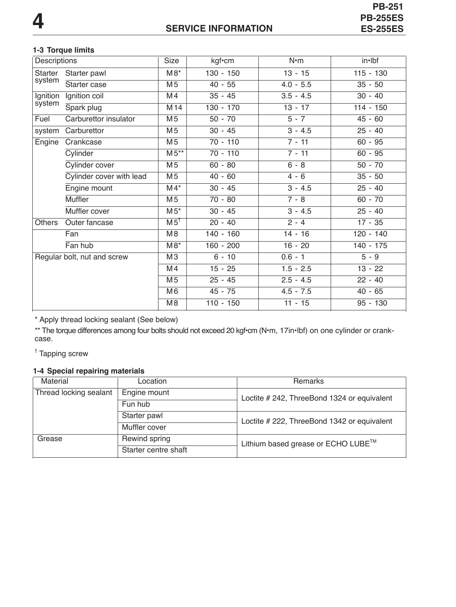**PB-251<br>PB-255ES** 

#### **1-3 Torque limits**

| Descriptions                |                          | Size            | kgf•cm      | $N \cdot m$ | in•lbf      |
|-----------------------------|--------------------------|-----------------|-------------|-------------|-------------|
| Starter                     | Starter pawl             | $M8*$           | $130 - 150$ | $13 - 15$   | $115 - 130$ |
| system                      | Starter case             | M <sub>5</sub>  | $40 - 55$   | $4.0 - 5.5$ | $35 - 50$   |
| Ignition                    | Ignition coil            | M <sub>4</sub>  | $35 - 45$   | $3.5 - 4.5$ | $30 - 40$   |
| system                      | Spark plug               | M <sub>14</sub> | 130 - 170   | $13 - 17$   | $114 - 150$ |
| Fuel                        | Carburettor insulator    | M <sub>5</sub>  | $50 - 70$   | $5 - 7$     | $45 - 60$   |
| system                      | Carburettor              | M <sub>5</sub>  | $30 - 45$   | $3 - 4.5$   | $25 - 40$   |
| Engine                      | Crankcase                | M <sub>5</sub>  | $70 - 110$  | $7 - 11$    | $60 - 95$   |
|                             | Cylinder                 | $M5**$          | $70 - 110$  | $7 - 11$    | $60 - 95$   |
|                             | Cylinder cover           | M <sub>5</sub>  | $60 - 80$   | $6 - 8$     | $50 - 70$   |
|                             | Cylinder cover with lead | M <sub>5</sub>  | $40 - 60$   | $4 - 6$     | $35 - 50$   |
|                             | Engine mount             | $M4*$           | $30 - 45$   | $3 - 4.5$   | $25 - 40$   |
|                             | <b>Muffler</b>           | M <sub>5</sub>  | $70 - 80$   | $7 - 8$     | $60 - 70$   |
|                             | Muffler cover            | $M5*$           | $30 - 45$   | $3 - 4.5$   | $25 - 40$   |
| <b>Others</b>               | Outer fancase            | M5 <sup>†</sup> | $20 - 40$   | $2 - 4$     | $17 - 35$   |
|                             | Fan                      | M8              | $140 - 160$ | $14 - 16$   | $120 - 140$ |
|                             | Fan hub                  | $M8*$           | $160 - 200$ | $16 - 20$   | 140 - 175   |
| Regular bolt, nut and screw |                          | M <sub>3</sub>  | $6 - 10$    | $0.6 - 1$   | $5 - 9$     |
|                             |                          | M4              | $15 - 25$   | $1.5 - 2.5$ | $13 - 22$   |
|                             |                          | M <sub>5</sub>  | $25 - 45$   | $2.5 - 4.5$ | $22 - 40$   |
|                             |                          | M <sub>6</sub>  | $45 - 75$   | $4.5 - 7.5$ | $40 - 65$   |
|                             |                          | M <sub>8</sub>  | $110 - 150$ | $11 - 15$   | $95 - 130$  |

\* Apply thread locking sealant (See below)

\*\* The torque differences among four bolts should not exceed 20 kgf•cm (N**•**m, 17in•lbf) on one cylinder or crankcase.

† Tapping screw

#### **1-4 Special repairing materials**

| Material               | Location             | Remarks                                     |  |
|------------------------|----------------------|---------------------------------------------|--|
| Thread locking sealant | Engine mount         | Loctite # 242, ThreeBond 1324 or equivalent |  |
|                        | Fun hub              |                                             |  |
| Starter pawl           |                      | Loctite # 222, ThreeBond 1342 or equivalent |  |
|                        | Muffler cover        |                                             |  |
| Grease                 | Rewind spring        | Lithium based grease or ECHO LUBE™          |  |
|                        | Starter centre shaft |                                             |  |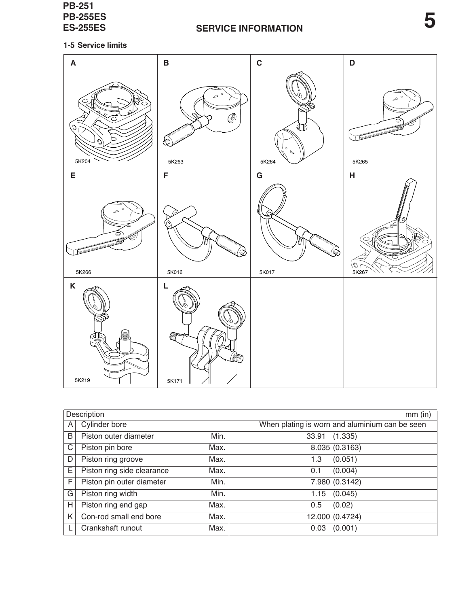

|   | Description                |      | $mm$ (in)                                      |
|---|----------------------------|------|------------------------------------------------|
| A | Cylinder bore              |      | When plating is worn and aluminium can be seen |
| B | Piston outer diameter      | Min. | 33.91<br>(1.335)                               |
| C | Piston pin bore            | Max. | 8.035 (0.3163)                                 |
| D | Piston ring groove         | Max. | (0.051)<br>1.3                                 |
| E | Piston ring side clearance | Max. | (0.004)<br>0.1                                 |
| F | Piston pin outer diameter  | Min. | 7.980 (0.3142)                                 |
| G | Piston ring width          | Min. | $1.15$ $(0.045)$                               |
| H | Piston ring end gap        | Max. | (0.02)<br>0.5                                  |
| K | Con-rod small end bore     | Max. | 12.000 (0.4724)                                |
|   | Crankshaft runout          | Max. | (0.001)<br>0.03                                |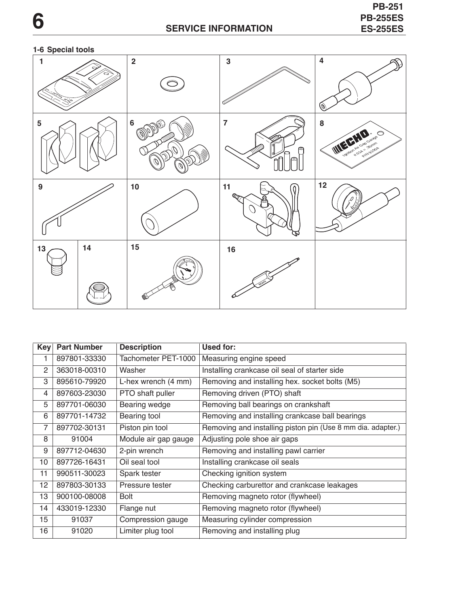#### **1-6 Special tools**



| Key | <b>Part Number</b> | <b>Description</b>   | Used for:                                                   |
|-----|--------------------|----------------------|-------------------------------------------------------------|
| 1   | 897801-33330       | Tachometer PET-1000  | Measuring engine speed                                      |
| 2   | 363018-00310       | Washer               | Installing crankcase oil seal of starter side               |
| 3   | 895610-79920       | L-hex wrench (4 mm)  | Removing and installing hex. socket bolts (M5)              |
| 4   | 897603-23030       | PTO shaft puller     | Removing driven (PTO) shaft                                 |
| 5   | 897701-06030       | Bearing wedge        | Removing ball bearings on crankshaft                        |
| 6   | 897701-14732       | Bearing tool         | Removing and installing crankcase ball bearings             |
| 7   | 897702-30131       | Piston pin tool      | Removing and installing piston pin (Use 8 mm dia. adapter.) |
| 8   | 91004              | Module air gap gauge | Adjusting pole shoe air gaps                                |
| 9   | 897712-04630       | 2-pin wrench         | Removing and installing pawl carrier                        |
| 10  | 897726-16431       | Oil seal tool        | Installing crankcase oil seals                              |
| 11  | 990511-30023       | Spark tester         | Checking ignition system                                    |
| 12  | 897803-30133       | Pressure tester      | Checking carburettor and crankcase leakages                 |
| 13  | 900100-08008       | <b>Bolt</b>          | Removing magneto rotor (flywheel)                           |
| 14  | 433019-12330       | Flange nut           | Removing magneto rotor (flywheel)                           |
| 15  | 91037              | Compression gauge    | Measuring cylinder compression                              |
| 16  | 91020              | Limiter plug tool    | Removing and installing plug                                |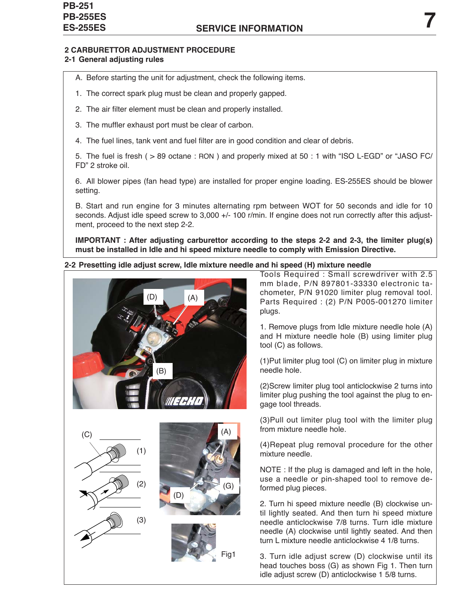#### **2 CARBURETTOR ADJUSTMENT PROCEDURE**

#### **2-1 General adjusting rules**

- A. Before starting the unit for adjustment, check the following items.
- 1. The correct spark plug must be clean and properly gapped.
- 2. The air filter element must be clean and properly installed.
- 3. The muffler exhaust port must be clear of carbon.
- 4. The fuel lines, tank vent and fuel filter are in good condition and clear of debris.

5. The fuel is fresh ( > 89 octane : RON ) and properly mixed at 50 : 1 with "ISO L-EGD" or "JASO FC/ FD" 2 stroke oil.

6. All blower pipes (fan head type) are installed for proper engine loading. ES-255ES should be blower setting.

B. Start and run engine for 3 minutes alternating rpm between WOT for 50 seconds and idle for 10 seconds. Adjust idle speed screw to 3,000 +/- 100 r/min. If engine does not run correctly after this adjustment, proceed to the next step 2-2.

**IMPORTANT : After adjusting carburettor according to the steps 2-2 and 2-3, the limiter plug(s) must be installed in Idle and hi speed mixture needle to comply with Emission Directive.**

#### **2-2 Presetting idle adjust screw, Idle mixture needle and hi speed (H) mixture needle**





Tools Required : Small screwdriver with 2.5 mm blade, P/N 897801-33330 electronic tachometer, P/N 91020 limiter plug removal tool. Parts Required : (2) P/N P005-001270 limiter plugs.

1. Remove plugs from Idle mixture needle hole (A) and H mixture needle hole (B) using limiter plug tool (C) as follows.

(1)Put limiter plug tool (C) on limiter plug in mixture needle hole.

(2)Screw limiter plug tool anticlockwise 2 turns into limiter plug pushing the tool against the plug to engage tool threads.

(3)Pull out limiter plug tool with the limiter plug from mixture needle hole.

(4)Repeat plug removal procedure for the other mixture needle.

NOTE : If the plug is damaged and left in the hole, use a needle or pin-shaped tool to remove deformed plug pieces.

2. Turn hi speed mixture needle (B) clockwise until lightly seated. And then turn hi speed mixture needle anticlockwise 7/8 turns. Turn idle mixture needle (A) clockwise until lightly seated. And then turn L mixture needle anticlockwise 4 1/8 turns.

3. Turn idle adjust screw (D) clockwise until its head touches boss (G) as shown Fig 1. Then turn idle adjust screw (D) anticlockwise 1 5/8 turns.